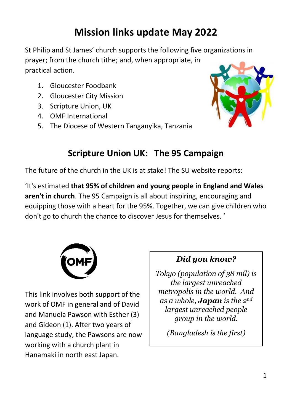# **Mission links update May 2022**

St Philip and St James' church supports the following five organizations in prayer; from the church tithe; and, when appropriate, in practical action.

- 1. Gloucester Foodbank
- 2. Gloucester City Mission
- 3. Scripture Union, UK
- 4. OMF International
- 5. The Diocese of Western Tanganyika, Tanzania



### **Scripture Union UK: The 95 Campaign**

The future of the church in the UK is at stake! The SU website reports:

'It's estimated **that 95% of children and young people in England and Wales aren't in church**. The 95 Campaign is all about inspiring, encouraging and equipping those with a heart for the 95%. Together, we can give children who don't go to church the chance to discover Jesus for themselves. '



This link involves both support of the work of OMF in general and of David and Manuela Pawson with Esther (3) and Gideon (1). After two years of language study, the Pawsons are now working with a church plant in Hanamaki in north east Japan.

### *Did you know?*

*Tokyo (population of 38 mil) is the largest unreached metropolis in the world. And as a whole, Japan is the 2nd largest unreached people group in the world.* 

*(Bangladesh is the first)*